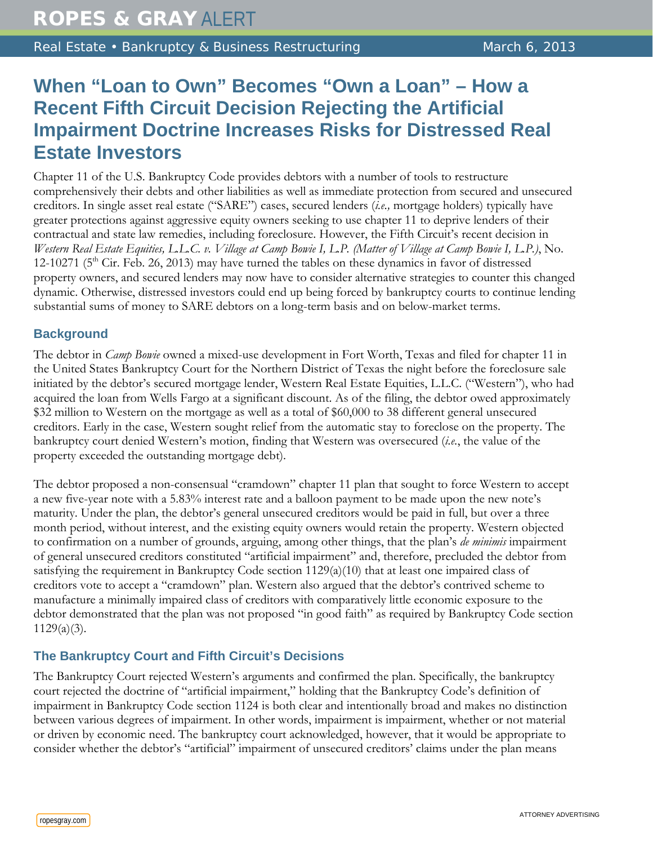Real Estate • Bankruptcy & Business Restructuring March 6, 2013

## **When "Loan to Own" Becomes "Own a Loan" – How a Recent Fifth Circuit Decision Rejecting the Artificial Impairment Doctrine Increases Risks for Distressed Real Estate Investors**

Chapter 11 of the U.S. Bankruptcy Code provides debtors with a number of tools to restructure comprehensively their debts and other liabilities as well as immediate protection from secured and unsecured creditors. In single asset real estate ("SARE") cases, secured lenders (*i.e.,* mortgage holders) typically have greater protections against aggressive equity owners seeking to use chapter 11 to deprive lenders of their contractual and state law remedies, including foreclosure. However, the Fifth Circuit's recent decision in *Western Real Estate Equities, L.L.C. v. Village at Camp Bowie I, L.P. (Matter of Village at Camp Bowie I, L.P.)*, No. 12-10271 ( $5<sup>th</sup>$  Cir. Feb. 26, 2013) may have turned the tables on these dynamics in favor of distressed property owners, and secured lenders may now have to consider alternative strategies to counter this changed dynamic. Otherwise, distressed investors could end up being forced by bankruptcy courts to continue lending substantial sums of money to SARE debtors on a long-term basis and on below-market terms.

## **Background**

The debtor in *Camp Bowie* owned a mixed-use development in Fort Worth, Texas and filed for chapter 11 in the United States Bankruptcy Court for the Northern District of Texas the night before the foreclosure sale initiated by the debtor's secured mortgage lender, Western Real Estate Equities, L.L.C. ("Western"), who had acquired the loan from Wells Fargo at a significant discount. As of the filing, the debtor owed approximately \$32 million to Western on the mortgage as well as a total of \$60,000 to 38 different general unsecured creditors. Early in the case, Western sought relief from the automatic stay to foreclose on the property. The bankruptcy court denied Western's motion, finding that Western was oversecured (*i.e.*, the value of the property exceeded the outstanding mortgage debt).

The debtor proposed a non-consensual "cramdown" chapter 11 plan that sought to force Western to accept a new five-year note with a 5.83% interest rate and a balloon payment to be made upon the new note's maturity. Under the plan, the debtor's general unsecured creditors would be paid in full, but over a three month period, without interest, and the existing equity owners would retain the property. Western objected to confirmation on a number of grounds, arguing, among other things, that the plan's *de minimis* impairment of general unsecured creditors constituted "artificial impairment" and, therefore, precluded the debtor from satisfying the requirement in Bankruptcy Code section 1129(a)(10) that at least one impaired class of creditors vote to accept a "cramdown" plan. Western also argued that the debtor's contrived scheme to manufacture a minimally impaired class of creditors with comparatively little economic exposure to the debtor demonstrated that the plan was not proposed "in good faith" as required by Bankruptcy Code section 1129(a)(3).

## **The Bankruptcy Court and Fifth Circuit's Decisions**

The Bankruptcy Court rejected Western's arguments and confirmed the plan. Specifically, the bankruptcy court rejected the doctrine of "artificial impairment," holding that the Bankruptcy Code's definition of impairment in Bankruptcy Code section 1124 is both clear and intentionally broad and makes no distinction between various degrees of impairment. In other words, impairment is impairment, whether or not material or driven by economic need. The bankruptcy court acknowledged, however, that it would be appropriate to consider whether the debtor's "artificial" impairment of unsecured creditors' claims under the plan means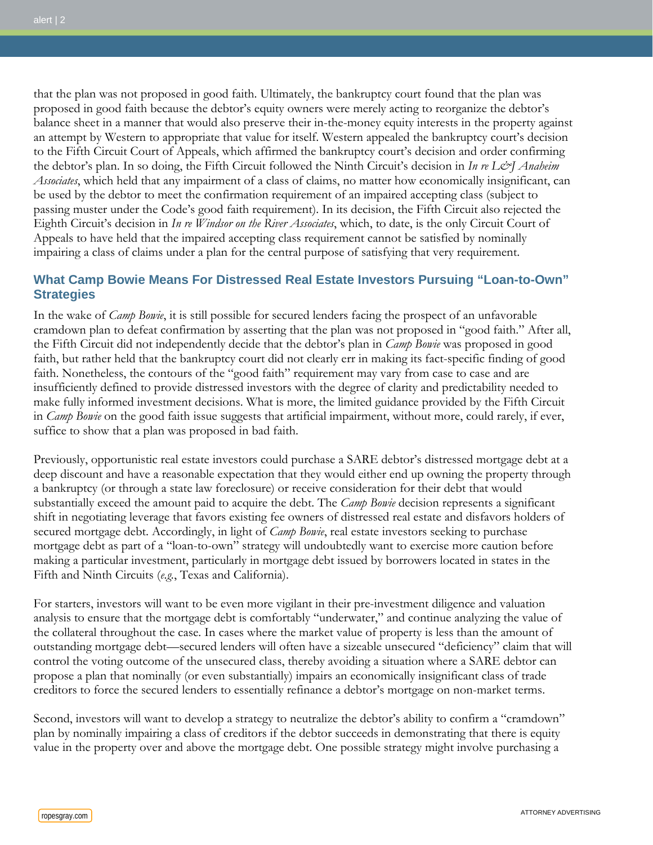that the plan was not proposed in good faith. Ultimately, the bankruptcy court found that the plan was proposed in good faith because the debtor's equity owners were merely acting to reorganize the debtor's balance sheet in a manner that would also preserve their in-the-money equity interests in the property against an attempt by Western to appropriate that value for itself. Western appealed the bankruptcy court's decision to the Fifth Circuit Court of Appeals, which affirmed the bankruptcy court's decision and order confirming the debtor's plan. In so doing, the Fifth Circuit followed the Ninth Circuit's decision in *In re L&J Anaheim Associates*, which held that any impairment of a class of claims, no matter how economically insignificant, can be used by the debtor to meet the confirmation requirement of an impaired accepting class (subject to passing muster under the Code's good faith requirement). In its decision, the Fifth Circuit also rejected the Eighth Circuit's decision in *In re Windsor on the River Associates*, which, to date, is the only Circuit Court of Appeals to have held that the impaired accepting class requirement cannot be satisfied by nominally impairing a class of claims under a plan for the central purpose of satisfying that very requirement.

## **What Camp Bowie Means For Distressed Real Estate Investors Pursuing "Loan-to-Own" Strategies**

In the wake of *Camp Bowie*, it is still possible for secured lenders facing the prospect of an unfavorable cramdown plan to defeat confirmation by asserting that the plan was not proposed in "good faith." After all, the Fifth Circuit did not independently decide that the debtor's plan in *Camp Bowie* was proposed in good faith, but rather held that the bankruptcy court did not clearly err in making its fact-specific finding of good faith. Nonetheless, the contours of the "good faith" requirement may vary from case to case and are insufficiently defined to provide distressed investors with the degree of clarity and predictability needed to make fully informed investment decisions. What is more, the limited guidance provided by the Fifth Circuit in *Camp Bowie* on the good faith issue suggests that artificial impairment, without more, could rarely, if ever, suffice to show that a plan was proposed in bad faith.

Previously, opportunistic real estate investors could purchase a SARE debtor's distressed mortgage debt at a deep discount and have a reasonable expectation that they would either end up owning the property through a bankruptcy (or through a state law foreclosure) or receive consideration for their debt that would substantially exceed the amount paid to acquire the debt. The *Camp Bowie* decision represents a significant shift in negotiating leverage that favors existing fee owners of distressed real estate and disfavors holders of secured mortgage debt. Accordingly, in light of *Camp Bowie*, real estate investors seeking to purchase mortgage debt as part of a "loan-to-own" strategy will undoubtedly want to exercise more caution before making a particular investment, particularly in mortgage debt issued by borrowers located in states in the Fifth and Ninth Circuits (*e.g.*, Texas and California).

For starters, investors will want to be even more vigilant in their pre-investment diligence and valuation analysis to ensure that the mortgage debt is comfortably "underwater," and continue analyzing the value of the collateral throughout the case. In cases where the market value of property is less than the amount of outstanding mortgage debt—secured lenders will often have a sizeable unsecured "deficiency" claim that will control the voting outcome of the unsecured class, thereby avoiding a situation where a SARE debtor can propose a plan that nominally (or even substantially) impairs an economically insignificant class of trade creditors to force the secured lenders to essentially refinance a debtor's mortgage on non-market terms.

Second, investors will want to develop a strategy to neutralize the debtor's ability to confirm a "cramdown" plan by nominally impairing a class of creditors if the debtor succeeds in demonstrating that there is equity value in the property over and above the mortgage debt. One possible strategy might involve purchasing a